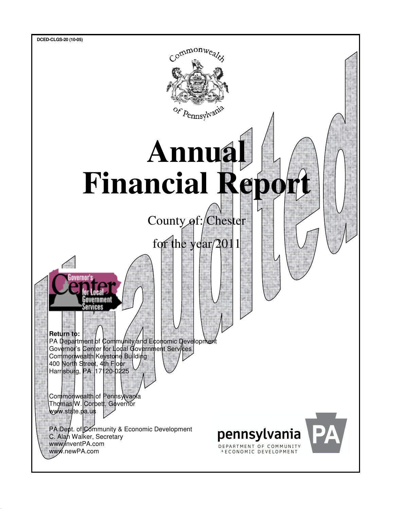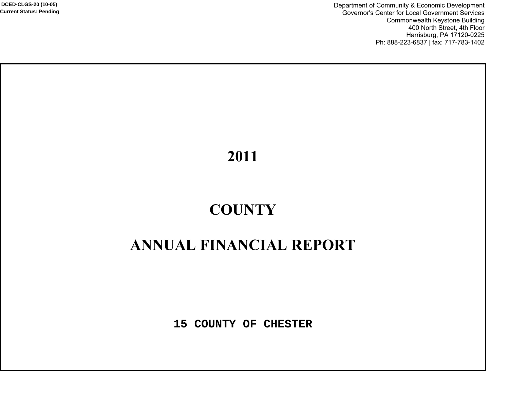Department of Community & Economic Development Governor's Center for Local Government Services Commonwealth Keystone Building 400 North Street, 4th Floor Harrisburg, PA 17120-0225 Ph: 888-223-6837 | fax: 717-783-1402

## 2011

# **&2817<**

## **ANNUAL FINANCIAL REPORT**

**15 COUNTY OF CHESTER**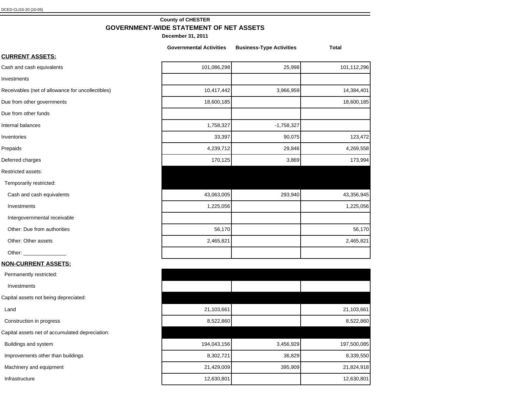#### **County of CHESTER GOVERNMENT-WIDE STATEMENT OF NET ASSETS**

**December 31, 2011**

|                                                   | <b>Governmental Activities</b> | <b>Business-Type Activities</b> | <b>Total</b> |
|---------------------------------------------------|--------------------------------|---------------------------------|--------------|
| <u>CURRENT ASSETS:</u>                            |                                |                                 |              |
| Cash and cash equivalents                         | 101,086,298                    | 25,998                          | 101,112,296  |
| Investments                                       |                                |                                 |              |
| Receivables (net of allowance for uncollectibles) | 10,417,442                     | 3,966,959                       | 14,384,401   |
| Due from other governments                        | 18,600,185                     |                                 | 18,600,185   |
| Due from other funds                              |                                |                                 |              |
| Internal balances                                 | 1,758,327                      | $-1,758,327$                    |              |
| Inventories                                       | 33,397                         | 90,075                          | 123,472      |
| Prepaids                                          | 4,239,712                      | 29,846                          | 4,269,558    |
| Deferred charges                                  | 170,125                        | 3,869                           | 173,994      |
| Restricted assets:                                |                                |                                 |              |
| Temporarily restricted:                           |                                |                                 |              |
| Cash and cash equivalents                         | 43,063,005                     | 293,940                         | 43,356,945   |
| Investments                                       | 1,225,056                      |                                 | 1,225,056    |
| Intergovernmental receivable                      |                                |                                 |              |
| Other: Due from authorities                       | 56,170                         |                                 | 56,170       |
| Other: Other assets                               | 2,465,821                      |                                 | 2,465,821    |
|                                                   |                                |                                 |              |
| <b>NON-CURRENT ASSETS:</b>                        |                                |                                 |              |
| Permanently restricted:                           |                                |                                 |              |
| Investments                                       |                                |                                 |              |
| Capital assets not being depreciated:             |                                |                                 |              |

| Saon and caon squivalonto                      | 10,000,000  | ----      | 10,000,010  |
|------------------------------------------------|-------------|-----------|-------------|
| Investments                                    | 1,225,056   |           | 1,225,056   |
| Intergovernmental receivable                   |             |           |             |
| Other: Due from authorities                    | 56,170      |           | 56,170      |
| Other: Other assets                            | 2,465,821   |           | 2,465,821   |
| Other: $\_\$                                   |             |           |             |
| <u> ION-CURRENT ASSETS:</u>                    |             |           |             |
| Permanently restricted:                        |             |           |             |
| Investments                                    |             |           |             |
| apital assets not being depreciated:           |             |           |             |
| Land                                           | 21,103,661  |           | 21,103,661  |
| Construction in progress                       | 8,522,860   |           | 8,522,860   |
| apital assets net of accumulated depreciation: |             |           |             |
| Buildings and system                           | 194,043,156 | 3,456,929 | 197,500,085 |
| Improvements other than buildings              | 8,302,721   | 36,829    | 8,339,550   |
| Machinery and equipment                        | 21,429,009  | 395,909   | 21,824,918  |
| Infrastructure                                 | 12,630,801  |           | 12,630,801  |
|                                                |             |           |             |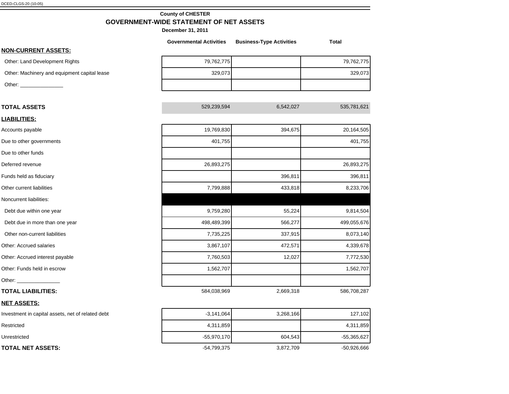## **County of CHESTER GOVERNMENT-WIDE STATEMENT OF NET ASSETS**

|                                                                                                                                                                                                                                | <b>Governmental Activities</b> | <b>Business-Type Activities</b> | <b>Total</b> |
|--------------------------------------------------------------------------------------------------------------------------------------------------------------------------------------------------------------------------------|--------------------------------|---------------------------------|--------------|
| <b>NON-CURRENT ASSETS:</b>                                                                                                                                                                                                     |                                |                                 |              |
| Other: Land Development Rights                                                                                                                                                                                                 | 79,762,775                     |                                 | 79,762,775   |
| Other: Machinery and equipment capital lease                                                                                                                                                                                   | 329,073                        |                                 | 329,073      |
| Other: __________________                                                                                                                                                                                                      |                                |                                 |              |
| <b>TOTAL ASSETS</b>                                                                                                                                                                                                            | 529,239,594                    | 6,542,027                       | 535,781,621  |
| <b>LIABILITIES:</b>                                                                                                                                                                                                            |                                |                                 |              |
| Accounts payable                                                                                                                                                                                                               | 19,769,830                     | 394,675                         | 20,164,505   |
| Due to other governments                                                                                                                                                                                                       | 401,755                        |                                 | 401,755      |
| Due to other funds                                                                                                                                                                                                             |                                |                                 |              |
| Deferred revenue                                                                                                                                                                                                               | 26,893,275                     |                                 | 26,893,275   |
| Funds held as fiduciary                                                                                                                                                                                                        |                                | 396,811                         | 396,811      |
| Other current liabilities                                                                                                                                                                                                      | 7,799,888                      | 433,818                         | 8,233,706    |
| Noncurrent liabilities:                                                                                                                                                                                                        |                                |                                 |              |
| Debt due within one year                                                                                                                                                                                                       | 9,759,280                      | 55,224                          | 9,814,504    |
| Debt due in more than one year                                                                                                                                                                                                 | 498,489,399                    | 566,277                         | 499,055,676  |
| Other non-current liabilities                                                                                                                                                                                                  | 7,735,225                      | 337,915                         | 8,073,140    |
| Other: Accrued salaries                                                                                                                                                                                                        | 3,867,107                      | 472,571                         | 4,339,678    |
| Other: Accrued interest payable                                                                                                                                                                                                | 7,760,503                      | 12,027                          | 7,772,530    |
| Other: Funds held in escrow                                                                                                                                                                                                    | 1,562,707                      |                                 | 1,562,707    |
| Other: ___________________                                                                                                                                                                                                     |                                |                                 |              |
| <b>TOTAL LIABILITIES:</b>                                                                                                                                                                                                      | 584,038,969                    | 2,669,318                       | 586,708,287  |
| <b>NET ASSETS:</b>                                                                                                                                                                                                             |                                |                                 |              |
| the contribution of the first product of the contribution of the first product of the first product of the contribution of the contribution of the contribution of the contribution of the contribution of the contribution of | انممنيه                        | 0.000100                        | 107.100      |

| Investment in capital assets, net of related debt | $-3,141,064$  | 3,268,166 | 127,102       |
|---------------------------------------------------|---------------|-----------|---------------|
| Restricted                                        | 4,311,859     |           | 4,311,859     |
| Unrestricted                                      | $-55,970,170$ | 604.543   | $-55,365,627$ |
| TOTAL NET ASSETS:                                 | -54,799,375   | 3.872.709 | $-50,926,666$ |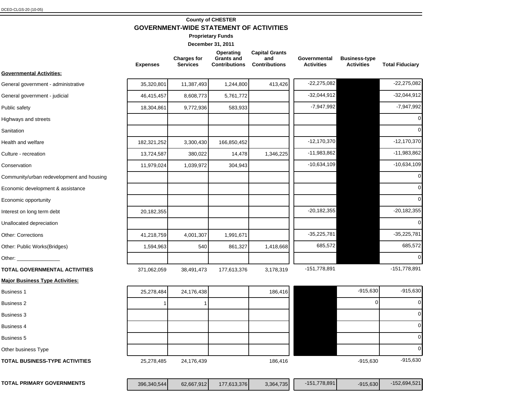## **County of CHESTER**

**GOVERNMENT-WIDE STATEMENT OF ACTIVITIES**

**Proprietary Funds**

|                                           | <b>Expenses</b> | <b>Charges for</b><br><b>Services</b> | Operating<br><b>Grants and</b><br><b>Contributions</b> | <b>Capital Grants</b><br>and<br><b>Contributions</b> | Governmental<br><b>Activities</b> | <b>Business-type</b><br><b>Activities</b> | <b>Total Fiduciary</b> |
|-------------------------------------------|-----------------|---------------------------------------|--------------------------------------------------------|------------------------------------------------------|-----------------------------------|-------------------------------------------|------------------------|
| <b>Governmental Activities:</b>           |                 |                                       |                                                        |                                                      |                                   |                                           |                        |
| General government - administrative       | 35,320,801      | 11,387,493                            | 1,244,800                                              | 413,426                                              | $-22,275,082$                     |                                           | $-22,275,082$          |
| General government - judicial             | 46,415,457      | 8,608,773                             | 5,761,772                                              |                                                      | $-32,044,912$                     |                                           | $-32,044,912$          |
| Public safety                             | 18,304,861      | 9,772,936                             | 583,933                                                |                                                      | $-7,947,992$                      |                                           | $-7,947,992$           |
| Highways and streets                      |                 |                                       |                                                        |                                                      |                                   |                                           | $\mathbf 0$            |
| Sanitation                                |                 |                                       |                                                        |                                                      |                                   |                                           | $\overline{0}$         |
| Health and welfare                        | 182,321,252     | 3,300,430                             | 166,850,452                                            |                                                      | $-12,170,370$                     |                                           | $-12,170,370$          |
| Culture - recreation                      | 13,724,587      | 380,022                               | 14,478                                                 | 1,346,225                                            | $-11,983,862$                     |                                           | $-11,983,862$          |
| Conservation                              | 11,979,024      | 1,039,972                             | 304,943                                                |                                                      | $-10,634,109$                     |                                           | $-10,634,109$          |
| Community/urban redevelopment and housing |                 |                                       |                                                        |                                                      |                                   |                                           | 0                      |
| Economic development & assistance         |                 |                                       |                                                        |                                                      |                                   |                                           | 0                      |
| Economic opportunity                      |                 |                                       |                                                        |                                                      |                                   |                                           | 0                      |
| Interest on long term debt                | 20,182,355      |                                       |                                                        |                                                      | $-20,182,355$                     |                                           | $-20, 182, 355$        |
| Unallocated depreciation                  |                 |                                       |                                                        |                                                      |                                   |                                           | $\Omega$               |
| <b>Other: Corrections</b>                 | 41,218,759      | 4,001,307                             | 1,991,671                                              |                                                      | $-35,225,781$                     |                                           | $-35,225,781$          |
| Other: Public Works(Bridges)              | 1,594,963       | 540                                   | 861,327                                                | 1,418,668                                            | 685,572                           |                                           | 685,572                |
| Other: _________________                  |                 |                                       |                                                        |                                                      |                                   |                                           | $\Omega$               |
| TOTAL GOVERNMENTAL ACTIVITIES             | 371,062,059     | 38,491,473                            | 177,613,376                                            | 3,178,319                                            | $-151,778,891$                    |                                           | $-151,778,891$         |
| <b>Major Business Type Activities:</b>    |                 |                                       |                                                        |                                                      |                                   |                                           |                        |
| <b>Business 1</b>                         | 25,278,484      | 24,176,438                            |                                                        | 186,416                                              |                                   | $-915,630$                                | $-915,630$             |
| <b>Business 2</b>                         |                 |                                       |                                                        |                                                      |                                   | $\overline{0}$                            | 0                      |
| <b>Business 3</b>                         |                 |                                       |                                                        |                                                      |                                   |                                           | 0                      |
| Business 4                                |                 |                                       |                                                        |                                                      |                                   |                                           | 0                      |
| <b>Business 5</b>                         |                 |                                       |                                                        |                                                      |                                   |                                           | 0                      |
| Other business Type                       |                 |                                       |                                                        |                                                      |                                   |                                           | 0                      |
| TOTAL BUSINESS-TYPE ACTIVITIES            | 25,278,485      | 24,176,439                            |                                                        | 186,416                                              |                                   | $-915,630$                                | $-915,630$             |

|--|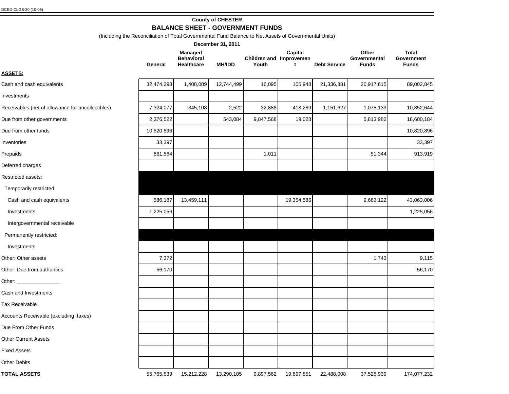#### **County of CHESTER**

## **BALANCE SHEET - GOVERNMENT FUNDS**

(Including the Reconciliation of Total Governmental Fund Balance to Net Assets of Governmental Units)

| December 31, 2011                                 |            |                                                   |               |                                  |              |                     |                                       |                                            |
|---------------------------------------------------|------------|---------------------------------------------------|---------------|----------------------------------|--------------|---------------------|---------------------------------------|--------------------------------------------|
|                                                   | General    | Managed<br><b>Behavioral</b><br><b>Healthcare</b> | <b>MH/IDD</b> | Children and Improvemen<br>Youth | Capital<br>t | <b>Debt Service</b> | Other<br>Governmental<br><b>Funds</b> | <b>Total</b><br>Government<br><b>Funds</b> |
| <b>ASSETS:</b>                                    |            |                                                   |               |                                  |              |                     |                                       |                                            |
| Cash and cash equivalents                         | 32,474,298 | 1,408,009                                         | 12,744,499    | 16,095                           | 105,948      | 21,336,381          | 20,917,615                            | 89,002,845                                 |
| Investments                                       |            |                                                   |               |                                  |              |                     |                                       |                                            |
| Receivables (net of allowance for uncollectibles) | 7,324,077  | 345,108                                           | 2,522         | 32,888                           | 418,289      | 1,151,627           | 1,078,133                             | 10,352,644                                 |
| Due from other governments                        | 2,376,522  |                                                   | 543,084       | 9,847,568                        | 19,028       |                     | 5,813,982                             | 18,600,184                                 |
| Due from other funds                              | 10,820,896 |                                                   |               |                                  |              |                     |                                       | 10,820,896                                 |
| Inventories                                       | 33,397     |                                                   |               |                                  |              |                     |                                       | 33,397                                     |
| Prepaids                                          | 861,564    |                                                   |               | 1,011                            |              |                     | 51,344                                | 913,919                                    |
| Deferred charges                                  |            |                                                   |               |                                  |              |                     |                                       |                                            |
| Restricted assets:                                |            |                                                   |               |                                  |              |                     |                                       |                                            |
| Temporarily restricted:                           |            |                                                   |               |                                  |              |                     |                                       |                                            |
| Cash and cash equivalents                         | 586,187    | 13,459,111                                        |               |                                  | 19,354,586   |                     | 9,663,122                             | 43,063,006                                 |
| Investments                                       | 1,225,056  |                                                   |               |                                  |              |                     |                                       | 1,225,056                                  |
| Intergovernmental receivable                      |            |                                                   |               |                                  |              |                     |                                       |                                            |
| Permanently restricted:                           |            |                                                   |               |                                  |              |                     |                                       |                                            |
| Investments                                       |            |                                                   |               |                                  |              |                     |                                       |                                            |
| Other: Other assets                               | 7,372      |                                                   |               |                                  |              |                     | 1,743                                 | 9,115                                      |
| Other: Due from authorities                       | 56,170     |                                                   |               |                                  |              |                     |                                       | 56,170                                     |
| Other: _________________                          |            |                                                   |               |                                  |              |                     |                                       |                                            |
| Cash and Investments                              |            |                                                   |               |                                  |              |                     |                                       |                                            |
| Tax Receivable                                    |            |                                                   |               |                                  |              |                     |                                       |                                            |
| Accounts Receivable (excluding taxes)             |            |                                                   |               |                                  |              |                     |                                       |                                            |
| Due From Other Funds                              |            |                                                   |               |                                  |              |                     |                                       |                                            |
| <b>Other Current Assets</b>                       |            |                                                   |               |                                  |              |                     |                                       |                                            |
| <b>Fixed Assets</b>                               |            |                                                   |               |                                  |              |                     |                                       |                                            |
| <b>Other Debits</b>                               |            |                                                   |               |                                  |              |                     |                                       |                                            |
| <b>TOTAL ASSETS</b>                               | 55,765,539 | 15,212,228                                        | 13,290,105    | 9,897,562                        | 19,897,851   | 22,488,008          | 37,525,939                            | 174,077,232                                |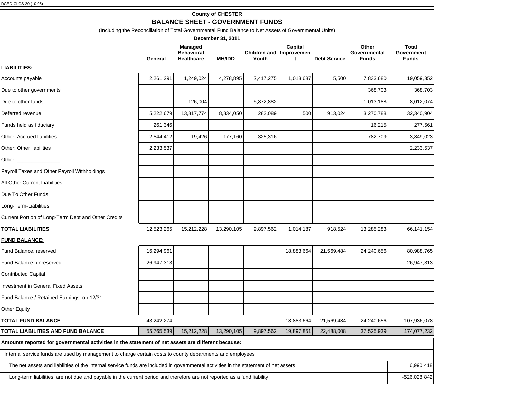## **County of CHESTER BALANCE SHEET - GOVERNMENT FUNDS**

(Including the Reconciliation of Total Governmental Fund Balance to Net Assets of Governmental Units)

|                                                                                                                                     |            |                                                   | December 31, 2011 |                                  |              |                     |                                       |                                     |
|-------------------------------------------------------------------------------------------------------------------------------------|------------|---------------------------------------------------|-------------------|----------------------------------|--------------|---------------------|---------------------------------------|-------------------------------------|
|                                                                                                                                     | General    | Managed<br><b>Behavioral</b><br><b>Healthcare</b> | <b>MH/IDD</b>     | Children and Improvemen<br>Youth | Capital<br>t | <b>Debt Service</b> | Other<br>Governmental<br><b>Funds</b> | Total<br>Government<br><b>Funds</b> |
| <u>LIABILITIES:</u>                                                                                                                 |            |                                                   |                   |                                  |              |                     |                                       |                                     |
| Accounts payable                                                                                                                    | 2,261,291  | 1,249,024                                         | 4,278,895         | 2,417,275                        | 1,013,687    | 5,500               | 7,833,680                             | 19,059,352                          |
| Due to other governments                                                                                                            |            |                                                   |                   |                                  |              |                     | 368,703                               | 368,703                             |
| Due to other funds                                                                                                                  |            | 126,004                                           |                   | 6,872,882                        |              |                     | 1,013,188                             | 8,012,074                           |
| Deferred revenue                                                                                                                    | 5,222,679  | 13,817,774                                        | 8,834,050         | 282,089                          | 500          | 913,024             | 3,270,788                             | 32,340,904                          |
| Funds held as fiduciary                                                                                                             | 261,346    |                                                   |                   |                                  |              |                     | 16,215                                | 277,561                             |
| Other: Accrued liabilities                                                                                                          | 2,544,412  | 19,426                                            | 177,160           | 325,316                          |              |                     | 782,709                               | 3,849,023                           |
| Other: Other liabilities                                                                                                            | 2,233,537  |                                                   |                   |                                  |              |                     |                                       | 2,233,537                           |
| Other: ________________                                                                                                             |            |                                                   |                   |                                  |              |                     |                                       |                                     |
| Payroll Taxes and Other Payroll Withholdings                                                                                        |            |                                                   |                   |                                  |              |                     |                                       |                                     |
| All Other Current Liabilities                                                                                                       |            |                                                   |                   |                                  |              |                     |                                       |                                     |
| Due To Other Funds                                                                                                                  |            |                                                   |                   |                                  |              |                     |                                       |                                     |
| Long-Term-Liabilities                                                                                                               |            |                                                   |                   |                                  |              |                     |                                       |                                     |
| Current Portion of Long-Term Debt and Other Credits                                                                                 |            |                                                   |                   |                                  |              |                     |                                       |                                     |
| TOTAL LIABILITIES                                                                                                                   | 12,523,265 | 15,212,228                                        | 13,290,105        | 9,897,562                        | 1,014,187    | 918,524             | 13,285,283                            | 66,141,154                          |
| <b>FUND BALANCE:</b>                                                                                                                |            |                                                   |                   |                                  |              |                     |                                       |                                     |
| Fund Balance, reserved                                                                                                              | 16,294,961 |                                                   |                   |                                  | 18,883,664   | 21,569,484          | 24,240,656                            | 80,988,765                          |
| Fund Balance, unreserved                                                                                                            | 26,947,313 |                                                   |                   |                                  |              |                     |                                       | 26,947,313                          |
| <b>Contributed Capital</b>                                                                                                          |            |                                                   |                   |                                  |              |                     |                                       |                                     |
| <b>Investment in General Fixed Assets</b>                                                                                           |            |                                                   |                   |                                  |              |                     |                                       |                                     |
| Fund Balance / Retained Earnings on 12/31                                                                                           |            |                                                   |                   |                                  |              |                     |                                       |                                     |
| Other Equity                                                                                                                        |            |                                                   |                   |                                  |              |                     |                                       |                                     |
| <b>TOTAL FUND BALANCE</b>                                                                                                           | 43,242,274 |                                                   |                   |                                  | 18,883,664   | 21,569,484          | 24,240,656                            | 107,936,078                         |
| TOTAL LIABILITIES AND FUND BALANCE                                                                                                  | 55,765,539 | 15,212,228                                        | 13,290,105        | 9,897,562                        | 19,897,851   | 22,488,008          | 37,525,939                            | 174,077,232                         |
| Amounts reported for governmental activities in the statement of net assets are different because:                                  |            |                                                   |                   |                                  |              |                     |                                       |                                     |
| Internal service funds are used by management to charge certain costs to county departments and employees                           |            |                                                   |                   |                                  |              |                     |                                       |                                     |
| The net assets and liabilities of the internal service funds are included in governmental activities in the statement of net assets |            |                                                   |                   |                                  |              |                     |                                       | 6,990,418                           |
| Long-term liabilities, are not due and payable in the current period and therefore are not reported as a fund liability             |            |                                                   |                   |                                  |              |                     |                                       | $-526,028,842$                      |
|                                                                                                                                     |            |                                                   |                   |                                  |              |                     |                                       |                                     |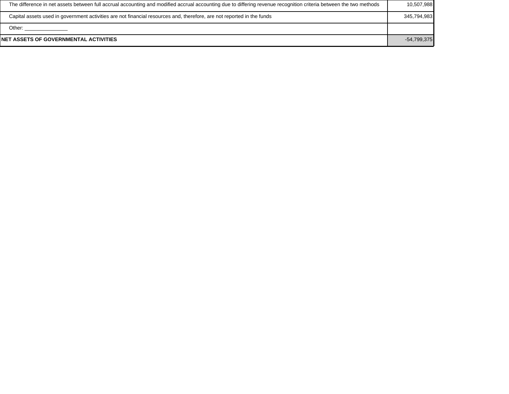| NET ASSETS OF GOVERNMENTAL ACTIVITIES                                                                                                                              | -54,799,375  |
|--------------------------------------------------------------------------------------------------------------------------------------------------------------------|--------------|
| Other:                                                                                                                                                             |              |
| Capital assets used in government activities are not financial resources and, therefore, are not reported in the funds                                             | 345,794,9831 |
| The difference in net assets between full accrual accounting and modified accrual accounting due to differing revenue recognition criteria between the two methods | 10,507,988   |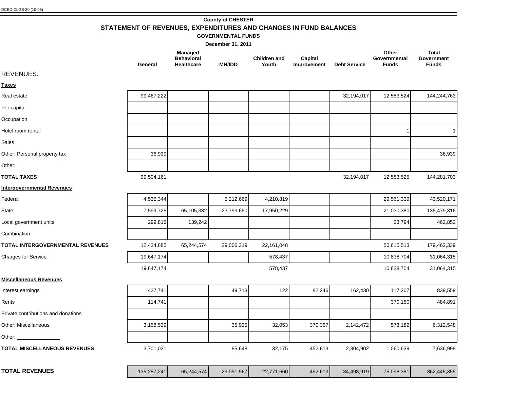#### **County of CHESTER**

### **STATEMENT OF REVENUES, EXPENDITURES AND CHANGES IN FUND BALANCES**

#### **GOVERNMENTAL FUNDS**

|                                     | General     | Managed<br><b>Behavioral</b><br>Healthcare | <b>MH/IDD</b> | <b>Children and</b><br>Youth | Capital<br>Improvement | <b>Debt Service</b> | Other<br>Governmental<br><b>Funds</b> | <b>Total</b><br>Government<br><b>Funds</b> |
|-------------------------------------|-------------|--------------------------------------------|---------------|------------------------------|------------------------|---------------------|---------------------------------------|--------------------------------------------|
| <b>REVENUES:</b>                    |             |                                            |               |                              |                        |                     |                                       |                                            |
| <u>Taxes</u>                        |             |                                            |               |                              |                        |                     |                                       |                                            |
| Real estate                         | 99,467,222  |                                            |               |                              |                        | 32,194,017          | 12,583,524                            | 144,244,763                                |
| Per capita                          |             |                                            |               |                              |                        |                     |                                       |                                            |
| Occupation                          |             |                                            |               |                              |                        |                     |                                       |                                            |
| Hotel room rental                   |             |                                            |               |                              |                        |                     | 1                                     | 1                                          |
| Sales                               |             |                                            |               |                              |                        |                     |                                       |                                            |
| Other: Personal property tax        | 36,939      |                                            |               |                              |                        |                     |                                       | 36,939                                     |
| Other: _                            |             |                                            |               |                              |                        |                     |                                       |                                            |
| <b>TOTAL TAXES</b>                  | 99,504,161  |                                            |               |                              |                        | 32,194,017          | 12,583,525                            | 144,281,703                                |
| <b>Intergovernmental Revenues</b>   |             |                                            |               |                              |                        |                     |                                       |                                            |
| Federal                             | 4,535,344   |                                            | 5,212,669     | 4,210,819                    |                        |                     | 29,561,339                            | 43,520,171                                 |
| State                               | 7,599,725   | 65,105,332                                 | 23,793,650    | 17,950,229                   |                        |                     | 21,030,380                            | 135,479,316                                |
| Local government units              | 299,816     | 139,242                                    |               |                              |                        |                     | 23,794                                | 462,852                                    |
| Combination                         |             |                                            |               |                              |                        |                     |                                       |                                            |
| TOTAL INTERGOVERNMENTAL REVENUES    | 12,434,885  | 65,244,574                                 | 29,006,319    | 22,161,048                   |                        |                     | 50,615,513                            | 179,462,339                                |
| <b>Charges for Service</b>          | 19,647,174  |                                            |               | 578,437                      |                        |                     | 10,838,704                            | 31,064,315                                 |
|                                     | 19,647,174  |                                            |               | 578,437                      |                        |                     | 10,838,704                            | 31,064,315                                 |
| <b>Miscellaneous Revenues</b>       |             |                                            |               |                              |                        |                     |                                       |                                            |
| Interest earnings                   | 427,741     |                                            | 49,713        | 122                          | 82,246                 | 162,430             | 117,307                               | 839,559                                    |
| Rents                               | 114,741     |                                            |               |                              |                        |                     | 370,150                               | 484,891                                    |
| Private contributions and donations |             |                                            |               |                              |                        |                     |                                       |                                            |
| Other: Miscellaneous                | 3,158,539   |                                            | 35,935        | 32,053                       | 370,367                | 2,142,472           | 573,182                               | 6,312,548                                  |
| Other: ________________             |             |                                            |               |                              |                        |                     |                                       |                                            |
| <b>TOTAL MISCELLANEOUS REVENUES</b> | 3,701,021   |                                            | 85,648        | 32,175                       | 452,613                | 2,304,902           | 1,060,639                             | 7,636,998                                  |
| <b>TOTAL REVENUES</b>               | 135,287,241 | 65,244,574                                 | 29,091,967    | 22,771,660                   | 452,613                | 34,498,919          | 75,098,381                            | 362,445,355                                |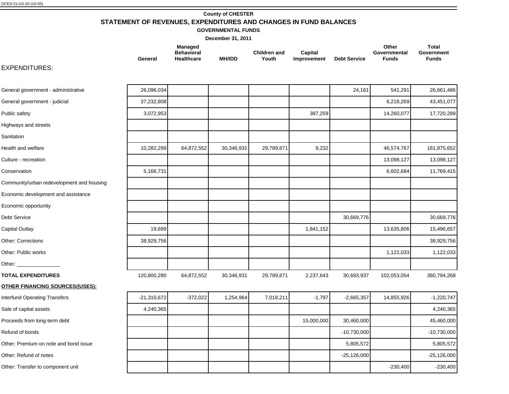## **County of CHESTER STATEMENT OF REVENUES, EXPENDITURES AND CHANGES IN FUND BALANCES**

**GOVERNMENTAL FUNDS**

**December 31, 2011**

|         | <b>Managed</b>    |               |                     |             |                     | Other               | Total        |
|---------|-------------------|---------------|---------------------|-------------|---------------------|---------------------|--------------|
|         | <b>Behavioral</b> |               | <b>Children and</b> | Capital     |                     | <b>Governmental</b> | Government   |
| General | <b>Healthcare</b> | <b>MH/IDD</b> | Youth<br>.          | Improvement | <b>Debt Service</b> | Funds               | <b>Funds</b> |

## EXPENDITURES:

| General government - administrative       | 26,096,034    |            |            |            |            | 24,161        | 541,291     | 26,661,486    |
|-------------------------------------------|---------------|------------|------------|------------|------------|---------------|-------------|---------------|
| General government - judicial             | 37,232,808    |            |            |            |            |               | 6,218,269   | 43,451,077    |
| Public safety                             | 3,072,953     |            |            |            | 387,259    |               | 14,260,077  | 17,720,289    |
| Highways and streets                      |               |            |            |            |            |               |             |               |
| Sanitation                                |               |            |            |            |            |               |             |               |
| Health and welfare                        | 10,282,299    | 64,872,552 | 30,346,931 | 29,789,871 | 9,232      |               | 46,574,767  | 181,875,652   |
| Culture - recreation                      |               |            |            |            |            |               | 13,098,127  | 13,098,127    |
| Conservation                              | 5,166,731     |            |            |            |            |               | 6,602,684   | 11,769,415    |
| Community/urban redevelopment and housing |               |            |            |            |            |               |             |               |
| Economic development and assistance       |               |            |            |            |            |               |             |               |
| Economic opportunity                      |               |            |            |            |            |               |             |               |
| Debt Service                              |               |            |            |            |            | 30,669,776    |             | 30,669,776    |
| Capital Outlay                            | 19,699        |            |            |            | 1,841,152  |               | 13,635,806  | 15,496,657    |
| Other: Corrections                        | 38,929,756    |            |            |            |            |               |             | 38,929,756    |
| Other: Public works                       |               |            |            |            |            |               | 1,122,033   | 1,122,033     |
| Other: _______________                    |               |            |            |            |            |               |             |               |
| <b>TOTAL EXPENDITURES</b>                 | 120,800,280   | 64,872,552 | 30,346,931 | 29,789,871 | 2,237,643  | 30,693,937    | 102,053,054 | 380,794,268   |
| <b>OTHER FINANCING SOURCES/(USES):</b>    |               |            |            |            |            |               |             |               |
| <b>Interfund Operating Transfers</b>      | $-21,310,672$ | $-372,022$ | 1,254,964  | 7,018,211  | $-1,797$   | $-2,665,357$  | 14,855,926  | $-1,220,747$  |
| Sale of capital assets                    | 4,240,365     |            |            |            |            |               |             | 4,240,365     |
| Proceeds from long-term debt              |               |            |            |            | 15,000,000 | 30,460,000    |             | 45,460,000    |
| Refund of bonds                           |               |            |            |            |            | $-10,730,000$ |             | $-10,730,000$ |
| Other: Premium on note and bond issue     |               |            |            |            |            | 5,805,572     |             | 5,805,572     |
| Other: Refund of notes                    |               |            |            |            |            | $-25,126,000$ |             | $-25,126,000$ |
| Other: Transfer to component unit         |               |            |            |            |            |               | $-230,400$  | $-230,400$    |
|                                           |               |            |            |            |            |               |             |               |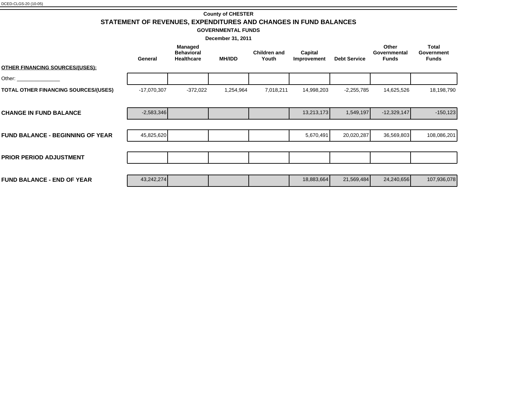## **County of CHESTER STATEMENT OF REVENUES, EXPENDITURES AND CHANGES IN FUND BALANCES**

**GOVERNMENTAL FUNDS**

| December 31, 2011 |                                                   |               |                              |                        |                     |                                       |                                            |  |
|-------------------|---------------------------------------------------|---------------|------------------------------|------------------------|---------------------|---------------------------------------|--------------------------------------------|--|
| General           | Managed<br><b>Behavioral</b><br><b>Healthcare</b> | <b>MH/IDD</b> | <b>Children and</b><br>Youth | Capital<br>Improvement | <b>Debt Service</b> | Other<br>Governmental<br><b>Funds</b> | <b>Total</b><br>Government<br><b>Funds</b> |  |
|                   |                                                   |               |                              |                        |                     |                                       |                                            |  |
| $-17,070,307$     | $-372,022$                                        | 1,254,964     | 7,018,211                    | 14,998,203             | $-2,255,785$        | 14,625,526                            | 18,198,790                                 |  |
|                   |                                                   |               |                              |                        |                     |                                       |                                            |  |
| $-2,583,346$      |                                                   |               |                              | 13,213,173             | 1,549,197           | $-12,329,147$                         | $-150, 123$                                |  |
|                   |                                                   |               |                              |                        |                     |                                       |                                            |  |
| 45,825,620        |                                                   |               |                              | 5,670,491              | 20,020,287          | 36,569,803                            | 108,086,201                                |  |
|                   |                                                   |               |                              |                        |                     |                                       |                                            |  |
|                   |                                                   |               |                              |                        |                     |                                       |                                            |  |
|                   |                                                   |               |                              |                        |                     |                                       |                                            |  |
| 43,242,274        |                                                   |               |                              | 18,883,664             | 21,569,484          | 24,240,656                            | 107,936,078                                |  |
|                   |                                                   |               |                              |                        |                     |                                       |                                            |  |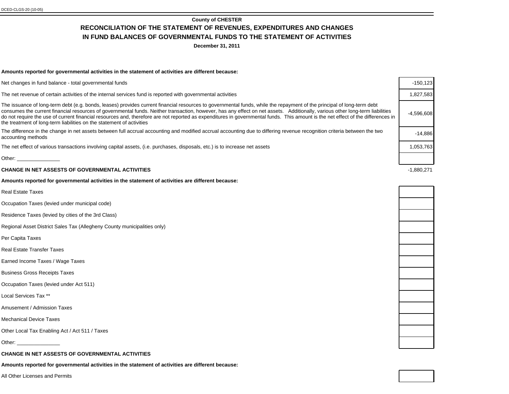**December 31, 2011**

#### **Amounts reported for governmental activities in the statement of activities are different because:**

Net changes in fund balance - total governmental funds

The net revenue of certain activities of the internal services fund is reported with governmental activities

The issuance of long-term debt (e.g. bonds, leases) provides current financial resources to governmental funds, while the repayment of the principal of long-term debt consumes the current financial resources of governmental funds. Neither transaction, however, has any effect on net assets. Additionally, various other long-term liabilities do not require the use of current financial resources and, therefore are not reported as expenditures in governmental funds. This amount is the net effect of the differences in the treatment of long-term liabilities on the statement of activities

The difference in the change in net assets between full accrual accounting and modified accrual accounting due to differing revenue recognition criteria between the two [14,886]<br>accounting methods

The net effect of various transactions involving capital assets, (i.e. purchases, disposals, etc.) is to increase net assets

Other:

#### **CHANGE IN NET ASSESTS OF GOVERNMENTAL ACTIVITIES** -1,880,271

#### **Amounts reported for governmental activities in the statement of activities are different because:**

Real Estate Taxes

Occupation Taxes (levied under municipal code)

Residence Taxes (levied by cities of the 3rd Class)

Regional Asset District Sales Tax (Allegheny County municipalities only)

Per Capita Taxes

Real Estate Transfer Taxes

Earned Income Taxes / Wage Taxes

Business Gross Receipts Taxes

Occupation Taxes (levied under Act 511)

Local Services Tax \*\*

Amusement / Admission Taxes

Mechanical Device Taxes

Other Local Tax Enabling Act / Act 511 / Taxes

Other:

**CHANGE IN NET ASSESTS OF GOVERNMENTAL ACTIVITIES**

**Amounts reported for governmental activities in the statement of activities are different because:**

All Other Licenses and Permits

| $-150, 123$  |
|--------------|
| 1,827,583    |
| $-4,596,608$ |
| $-14.886$    |
| 1,053,763    |
|              |
| ິ            |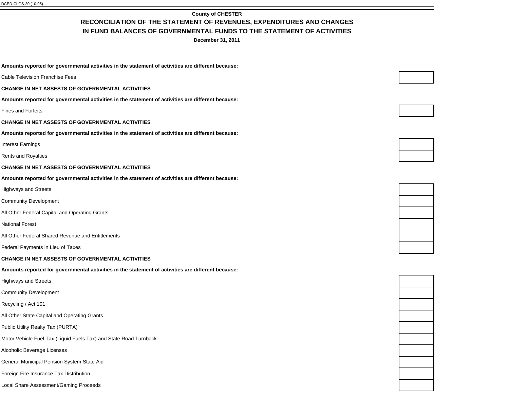**December 31, 2011**

**Amounts reported for governmental activities in the statement of activities are different because:**

Cable Television Franchise Fees

**CHANGE IN NET ASSESTS OF GOVERNMENTAL ACTIVITIES**

**Amounts reported for governmental activities in the statement of activities are different because:**

Fines and Forfeits

**CHANGE IN NET ASSESTS OF GOVERNMENTAL ACTIVITIES**

**Amounts reported for governmental activities in the statement of activities are different because:**

Interest Earnings

Rents and Royalties

#### **CHANGE IN NET ASSESTS OF GOVERNMENTAL ACTIVITIES**

**Amounts reported for governmental activities in the statement of activities are different because:**

Highways and Streets

Community Development

All Other Federal Capital and Operating Grants

National Forest

All Other Federal Shared Revenue and Entitlements

Federal Payments in Lieu of Taxes

#### **CHANGE IN NET ASSESTS OF GOVERNMENTAL ACTIVITIES**

**Amounts reported for governmental activities in the statement of activities are different because:**

Highways and Streets

Community Development

Recycling / Act 101

All Other State Capital and Operating Grants

Public Utility Realty Tax (PURTA)

Motor Vehicle Fuel Tax (Liquid Fuels Tax) and State Road Turnback

Alcoholic Beverage Licenses

General Municipal Pension System State Aid

Foreign Fire Insurance Tax Distribution

Local Share Assessment/Gaming Proceeds









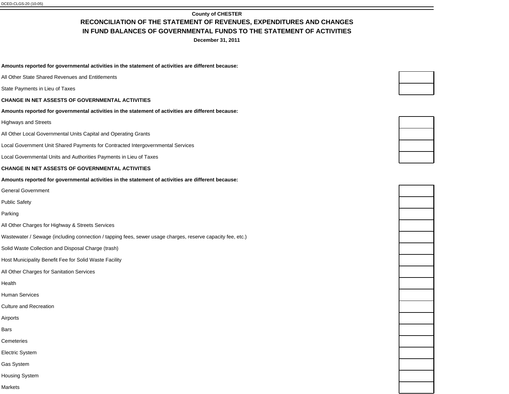**December 31, 2011**

**Amounts reported for governmental activities in the statement of activities are different because:**

- All Other State Shared Revenues and Entitlements
- State Payments in Lieu of Taxes
- **CHANGE IN NET ASSESTS OF GOVERNMENTAL ACTIVITIES**
- **Amounts reported for governmental activities in the statement of activities are different because:**
- Highways and Streets
- All Other Local Governmental Units Capital and Operating Grants

Local Government Unit Shared Payments for Contracted Intergovernmental Services

Local Governmental Units and Authorities Payments in Lieu of Taxes

#### **CHANGE IN NET ASSESTS OF GOVERNMENTAL ACTIVITIES**

#### **Amounts reported for governmental activities in the statement of activities are different because:**

General Government

Public Safety

Parking

- All Other Charges for Highway & Streets Services
- Wastewater / Sewage (including connection / tapping fees, sewer usage charges, reserve capacity fee, etc.)

Solid Waste Collection and Disposal Charge (trash)

- Host Municipality Benefit Fee for Solid Waste Facility
- All Other Charges for Sanitation Services

Health

- Human Services
- Culture and Recreation

Airports

Bars

Cemeteries

Electric System

Gas System

Housing System

Markets



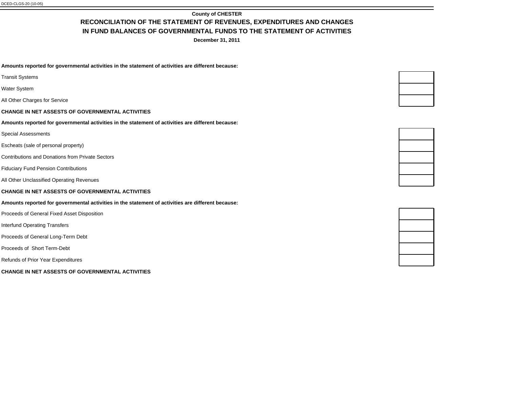**December 31, 2011**

**Amounts reported for governmental activities in the statement of activities are different because:**

- Transit Systems
- Water System
- All Other Charges for Service
- **CHANGE IN NET ASSESTS OF GOVERNMENTAL ACTIVITIES**
- **Amounts reported for governmental activities in the statement of activities are different because:**
- Special Assessments
- Escheats (sale of personal property)
- Contributions and Donations from Private Sectors
- Fiduciary Fund Pension Contributions
- All Other Unclassified Operating Revenues

#### **CHANGE IN NET ASSESTS OF GOVERNMENTAL ACTIVITIES**

- **Amounts reported for governmental activities in the statement of activities are different because:**
- Proceeds of General Fixed Asset Disposition
- Interfund Operating Transfers
- Proceeds of General Long-Term Debt
- Proceeds of Short Term-Debt
- Refunds of Prior Year Expenditures
- **CHANGE IN NET ASSESTS OF GOVERNMENTAL ACTIVITIES**



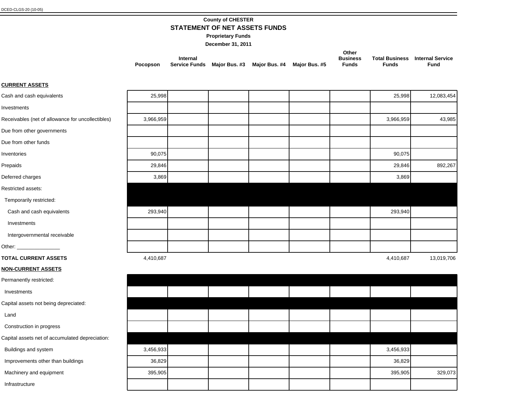### **County of CHESTER**

**STATEMENT OF NET ASSETS FUNDS**

**Proprietary Funds**

**December 31, 2011**

|                 |          |                                                         | Other           |       |                                        |
|-----------------|----------|---------------------------------------------------------|-----------------|-------|----------------------------------------|
|                 | Internal |                                                         | <b>Business</b> |       | <b>Total Business</b> Internal Service |
| <b>Pocopson</b> |          | Service Funds Maior Bus. #3 Maior Bus. #4 Maior Bus. #5 | Funds           | Funds | Fund                                   |

#### **CURRENT ASSETS**

| Investments<br>Receivables (net of allowance for uncollectibles)<br>3,966,959<br>3,966,959 | 43,985     |
|--------------------------------------------------------------------------------------------|------------|
|                                                                                            |            |
|                                                                                            |            |
| Due from other governments                                                                 |            |
| Due from other funds                                                                       |            |
| 90,075<br>90,075<br>Inventories                                                            |            |
| Prepaids<br>29,846<br>29,846                                                               | 892,267    |
| Deferred charges<br>3,869<br>3,869                                                         |            |
| Restricted assets:                                                                         |            |
| Temporarily restricted:                                                                    |            |
| 293,940<br>293,940<br>Cash and cash equivalents                                            |            |
| Investments                                                                                |            |
| Intergovernmental receivable                                                               |            |
|                                                                                            |            |
| <b>TOTAL CURRENT ASSETS</b><br>4,410,687<br>4,410,687                                      | 13,019,706 |
| <b>NON-CURRENT ASSETS</b>                                                                  |            |
| Permanently restricted:                                                                    |            |
| Investments                                                                                |            |
| Capital assets not being depreciated:                                                      |            |
| Land                                                                                       |            |
| Construction in progress                                                                   |            |
| Capital assets net of accumulated depreciation:                                            |            |
| 3,456,933<br>3,456,933<br>Buildings and system                                             |            |
| 36,829<br>36,829<br>Improvements other than buildings                                      |            |
| Machinery and equipment<br>395,905<br>395,905                                              | 329,073    |
| Infrastructure                                                                             |            |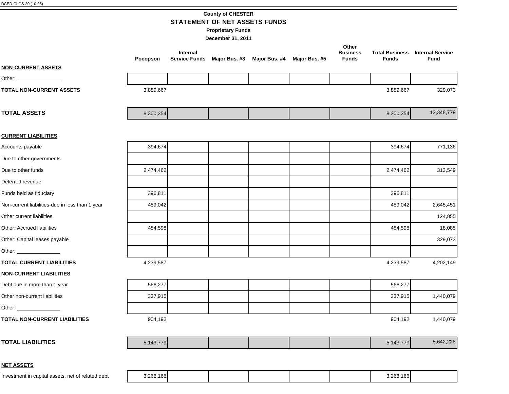## **County of CHESTER STATEMENT OF NET ASSETS FUNDS**

**Proprietary Funds**

|                                                 | Pocopson  | <b>Internal</b><br><b>Service Funds</b> | Major Bus. #3 Major Bus. #4 Major Bus. #5 | Other<br><b>Business</b><br><b>Funds</b> | <b>Funds</b> | <b>Total Business</b> Internal Service<br><b>Fund</b> |
|-------------------------------------------------|-----------|-----------------------------------------|-------------------------------------------|------------------------------------------|--------------|-------------------------------------------------------|
| <b>NON-CURRENT ASSETS</b>                       |           |                                         |                                           |                                          |              |                                                       |
| Other: _________________                        |           |                                         |                                           |                                          |              |                                                       |
| <b>TOTAL NON-CURRENT ASSETS</b>                 | 3,889,667 |                                         |                                           |                                          | 3,889,667    | 329,073                                               |
| <b>TOTAL ASSETS</b>                             | 8,300,354 |                                         |                                           |                                          | 8,300,354    | 13,348,779                                            |
| <b>CURRENT LIABILITIES</b>                      |           |                                         |                                           |                                          |              |                                                       |
| Accounts payable                                | 394,674   |                                         |                                           |                                          | 394,674      | 771,136                                               |
| Due to other governments                        |           |                                         |                                           |                                          |              |                                                       |
| Due to other funds                              | 2,474,462 |                                         |                                           |                                          | 2,474,462    | 313,549                                               |
| Deferred revenue                                |           |                                         |                                           |                                          |              |                                                       |
| Funds held as fiduciary                         | 396,811   |                                         |                                           |                                          | 396,811      |                                                       |
| Non-current liabilities-due in less than 1 year | 489,042   |                                         |                                           |                                          | 489,042      | 2,645,451                                             |
| Other current liabilities                       |           |                                         |                                           |                                          |              | 124,855                                               |
| Other: Accrued liabilities                      | 484,598   |                                         |                                           |                                          | 484,598      | 18,085                                                |
| Other: Capital leases payable                   |           |                                         |                                           |                                          |              | 329,073                                               |
| Other: _______________                          |           |                                         |                                           |                                          |              |                                                       |
| <b>TOTAL CURRENT LIABILITIES</b>                | 4,239,587 |                                         |                                           |                                          | 4,239,587    | 4,202,149                                             |
| <b>NON-CURRENT LIABILITIES</b>                  |           |                                         |                                           |                                          |              |                                                       |
| Debt due in more than 1 year                    | 566,277   |                                         |                                           |                                          | 566,277      |                                                       |
| Other non-current liabilities                   | 337,915   |                                         |                                           |                                          | 337,915      | 1,440,079                                             |
| Other: _________________                        |           |                                         |                                           |                                          |              |                                                       |
| <b>TOTAL NON-CURRENT LIABILITIES</b>            | 904,192   |                                         |                                           |                                          | 904,192      | 1,440,079                                             |
| <b>TOTAL LIABILITIES</b>                        | 5,143,779 |                                         |                                           |                                          | 5,143,779    | 5,642,228                                             |

| NET ASSET |  |
|-----------|--|
|           |  |

| 3.268.166 | 3.268.166 |
|-----------|-----------|
|-----------|-----------|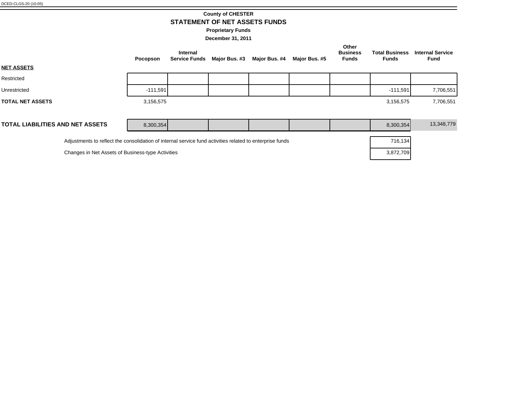## **STATEMENT OF NET ASSETS FUNDS County of CHESTER**

**Proprietary Funds**

|                                                                                                          | Pocopson                                          | <b>Internal</b><br><b>Service Funds</b> | Major Bus. #3 | Major Bus. #4 | Major Bus. #5 | Other<br><b>Business</b><br><b>Funds</b> | <b>Total Business</b><br><b>Funds</b> | <b>Internal Service</b><br><b>Fund</b> |
|----------------------------------------------------------------------------------------------------------|---------------------------------------------------|-----------------------------------------|---------------|---------------|---------------|------------------------------------------|---------------------------------------|----------------------------------------|
| <b>NET ASSETS</b>                                                                                        |                                                   |                                         |               |               |               |                                          |                                       |                                        |
| Restricted                                                                                               |                                                   |                                         |               |               |               |                                          |                                       |                                        |
| Unrestricted                                                                                             | $-111,591$                                        |                                         |               |               |               |                                          | $-111,591$                            | 7,706,551                              |
| <b>TOTAL NET ASSETS</b>                                                                                  | 3,156,575                                         |                                         |               |               |               |                                          | 3,156,575                             | 7,706,551                              |
|                                                                                                          |                                                   |                                         |               |               |               |                                          |                                       |                                        |
| <b>TOTAL LIABILITIES AND NET ASSETS</b>                                                                  | 8,300,354                                         |                                         |               |               |               |                                          | 8,300,354                             | 13,348,779                             |
| Adjustments to reflect the consolidation of internal service fund activities related to enterprise funds |                                                   |                                         |               |               |               |                                          | 716,134                               |                                        |
|                                                                                                          | Changes in Net Assets of Business-type Activities |                                         |               |               |               |                                          | 3,872,709                             |                                        |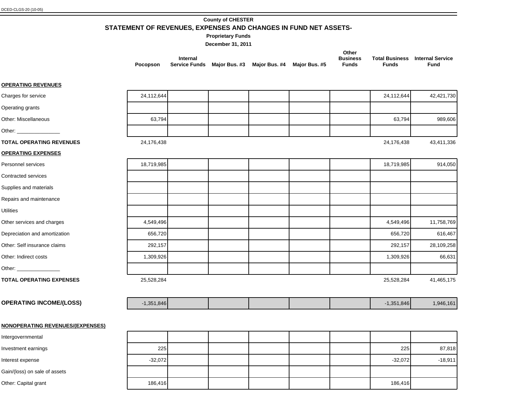#### **County of CHESTER**

**STATEMENT OF REVENUES, EXPENSES AND CHANGES IN FUND NET ASSETS-**

**Proprietary Funds**

**December 31, 2011**

|          |                                                         |  | Other           |       |                                        |
|----------|---------------------------------------------------------|--|-----------------|-------|----------------------------------------|
|          | Internal                                                |  | <b>Business</b> |       | <b>Total Business</b> Internal Service |
| Pocopson | Service Funds Maior Bus. #3 Maior Bus. #4 Maior Bus. #5 |  | <b>Funds</b>    | Funds | Fund                                   |

#### **OPERATING REVENUES**

| Charges for service                                                                                                                                                                                                            | 24,112,644   |  |  | 24,112,644   | 42,421,730 |
|--------------------------------------------------------------------------------------------------------------------------------------------------------------------------------------------------------------------------------|--------------|--|--|--------------|------------|
| Operating grants                                                                                                                                                                                                               |              |  |  |              |            |
| Other: Miscellaneous                                                                                                                                                                                                           | 63,794       |  |  | 63,794       | 989,606    |
| Other: ________________                                                                                                                                                                                                        |              |  |  |              |            |
| <b>TOTAL OPERATING REVENUES</b>                                                                                                                                                                                                | 24,176,438   |  |  | 24,176,438   | 43,411,336 |
| <b>OPERATING EXPENSES</b>                                                                                                                                                                                                      |              |  |  |              |            |
| Personnel services                                                                                                                                                                                                             | 18,719,985   |  |  | 18,719,985   | 914,050    |
| Contracted services                                                                                                                                                                                                            |              |  |  |              |            |
| Supplies and materials                                                                                                                                                                                                         |              |  |  |              |            |
| Repairs and maintenance                                                                                                                                                                                                        |              |  |  |              |            |
| <b>Utilities</b>                                                                                                                                                                                                               |              |  |  |              |            |
| Other services and charges                                                                                                                                                                                                     | 4,549,496    |  |  | 4,549,496    | 11,758,769 |
| Depreciation and amortization                                                                                                                                                                                                  | 656,720      |  |  | 656,720      | 616,467    |
| Other: Self insurance claims                                                                                                                                                                                                   | 292,157      |  |  | 292,157      | 28,109,258 |
| Other: Indirect costs                                                                                                                                                                                                          | 1,309,926    |  |  | 1,309,926    | 66,631     |
| Other: and the contract of the contract of the contract of the contract of the contract of the contract of the contract of the contract of the contract of the contract of the contract of the contract of the contract of the |              |  |  |              |            |
| <b>TOTAL OPERATING EXPENSES</b>                                                                                                                                                                                                | 25,528,284   |  |  | 25,528,284   | 41,465,175 |
|                                                                                                                                                                                                                                |              |  |  |              |            |
| <b>OPERATING INCOME/(LOSS)</b>                                                                                                                                                                                                 | $-1,351,846$ |  |  | $-1,351,846$ | 1,946,161  |
|                                                                                                                                                                                                                                |              |  |  |              |            |

#### **NONOPERATING REVENUES/(EXPENSES)**

| Intergovernmental             |           |  |  |           |           |
|-------------------------------|-----------|--|--|-----------|-----------|
| Investment earnings           | 225       |  |  | 225       | 87,818    |
| Interest expense              | $-32,072$ |  |  | $-32,072$ | $-18,911$ |
| Gain/(loss) on sale of assets |           |  |  |           |           |
| Other: Capital grant          | 186,416   |  |  | 186,416   |           |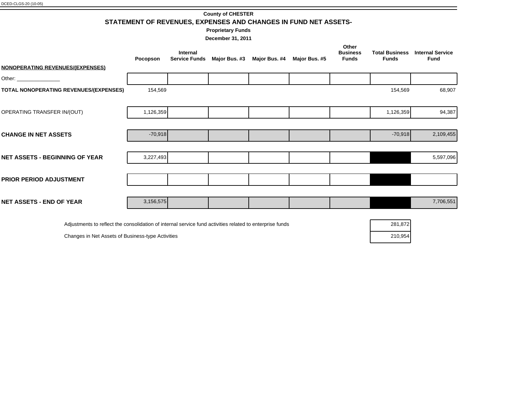| DCED-CLGS-20 (10-05) |  |
|----------------------|--|
|----------------------|--|

| <b>County of CHESTER</b>                                        |
|-----------------------------------------------------------------|
| STATEMENT OF REVENUES, EXPENSES AND CHANGES IN FUND NET ASSETS- |

**Proprietary Funds**

**December 31, 2011**

|                                         | Pocopson  | Internal<br><b>Service Funds</b> | Major Bus. #3  Major Bus. #4 | Major Bus. #5 | Other<br><b>Business</b><br><b>Funds</b> | <b>Total Business</b><br><b>Funds</b> | <b>Internal Service</b><br>Fund |
|-----------------------------------------|-----------|----------------------------------|------------------------------|---------------|------------------------------------------|---------------------------------------|---------------------------------|
| <b>NONOPERATING REVENUES/(EXPENSES)</b> |           |                                  |                              |               |                                          |                                       |                                 |
|                                         |           |                                  |                              |               |                                          |                                       |                                 |
| TOTAL NONOPERATING REVENUES/(EXPENSES)  | 154,569   |                                  |                              |               |                                          | 154,569                               | 68,907                          |
| OPERATING TRANSFER IN/(OUT)             | 1,126,359 |                                  |                              |               |                                          | 1,126,359                             | 94,387                          |
|                                         |           |                                  |                              |               |                                          |                                       |                                 |
| <b>CHANGE IN NET ASSETS</b>             | $-70,918$ |                                  |                              |               |                                          | $-70,918$                             | 2,109,455                       |
|                                         |           |                                  |                              |               |                                          |                                       |                                 |
| <b>NET ASSETS - BEGINNING OF YEAR</b>   | 3,227,493 |                                  |                              |               |                                          |                                       | 5,597,096                       |
|                                         |           |                                  |                              |               |                                          |                                       |                                 |
| <b>PRIOR PERIOD ADJUSTMENT</b>          |           |                                  |                              |               |                                          |                                       |                                 |
|                                         |           |                                  |                              |               |                                          |                                       |                                 |
| <b>NET ASSETS - END OF YEAR</b>         | 3,156,575 |                                  |                              |               |                                          |                                       | 7,706,551                       |

Adjustments to reflect the consolidation of internal service fund activities related to enterprise funds<br>
Changes in Net Assets of Business-type Activities

Changes in Net Assets of Business-type Activities

| 281.872 |
|---------|
| 210,954 |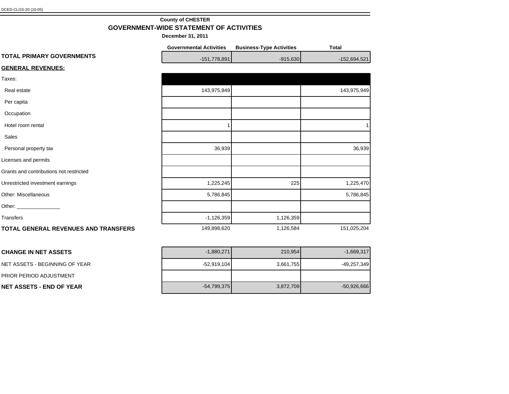### **County of CHESTER GOVERNMENT-WIDE STATEMENT OF ACTIVITIES**

|                                         | <b>Governmental Activities</b> | <b>Business-Type Activities</b> | <b>Total</b> |
|-----------------------------------------|--------------------------------|---------------------------------|--------------|
| TOTAL PRIMARY GOVERNMENTS               | $-151,778,891$                 | $-915,630$                      | -152,694,521 |
| <b>GENERAL REVENUES:</b>                |                                |                                 |              |
| Taxes:                                  |                                |                                 |              |
| Real estate                             | 143,975,949                    |                                 | 143,975,949  |
| Per capita                              |                                |                                 |              |
| Occupation                              |                                |                                 |              |
| Hotel room rental                       |                                |                                 |              |
| Sales                                   |                                |                                 |              |
| Personal property tax                   | 36,939                         |                                 | 36,939       |
| Licenses and permits                    |                                |                                 |              |
| Grants and contributions not restricted |                                |                                 |              |
| Unrestricted investment earnings        | 1,225,245                      | 225                             | 1,225,470    |
| Other: Miscellaneous                    | 5,786,845                      |                                 | 5,786,845    |
| Other: $\_\_$                           |                                |                                 |              |
| <b>Transfers</b>                        | $-1,126,359$                   | 1,126,359                       |              |
| TOTAL GENERAL REVENUES AND TRANSFERS    | 149,898,620                    | 1,126,584                       | 151,025,204  |

| <b>CHANGE IN NET ASSETS</b>     | $-1,880,271$  | 210,954   | $-1,669,317$  |
|---------------------------------|---------------|-----------|---------------|
| NET ASSETS - BEGINNING OF YEAR  | -52,919,104   | 3.661.755 | -49,257,349   |
| <b>PRIOR PERIOD ADJUSTMENT</b>  |               |           |               |
| <b>NET ASSETS - END OF YEAR</b> | $-54,799,375$ | 3,872,709 | $-50,926,666$ |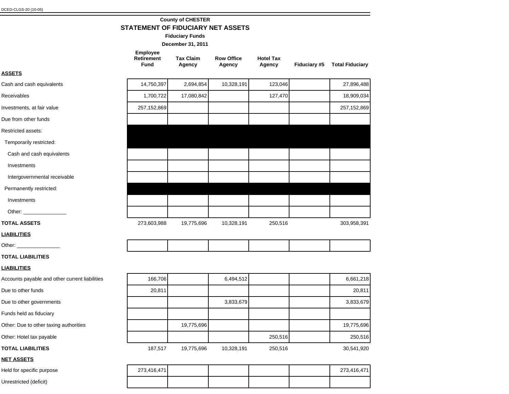#### **County of CHESTER STATEMENT OF FIDUCIARY NET ASSETS**

**Fiduciary Funds**

**December 31, 2011**

| <b>Employee</b> |                  |
|-----------------|------------------|
| Retirement      | <b>Tax Claim</b> |

#### **Fund Agency**

**Hotel Tax** 

**Agency Fiduciary #5 Total Fiduciary**

I.

|  | Cash and cash equivalents |  |
|--|---------------------------|--|

**ASSETS**

| Cash and cash equivalents    | 14,750,397    | 2,694,854  | 10,328,1911 | 123,046 | 27,896,488    |
|------------------------------|---------------|------------|-------------|---------|---------------|
| Receivables                  | 1,700,722     | 17,080,842 |             | 127,470 | 18,909,034    |
| Investments, at fair value   | 257, 152, 869 |            |             |         | 257, 152, 869 |
| Due from other funds         |               |            |             |         |               |
| Restricted assets:           |               |            |             |         |               |
| Temporarily restricted:      |               |            |             |         |               |
| Cash and cash equivalents    |               |            |             |         |               |
| Investments                  |               |            |             |         |               |
| Intergovernmental receivable |               |            |             |         |               |
| Permanently restricted:      |               |            |             |         |               |
| Investments                  |               |            |             |         |               |
|                              |               |            |             |         |               |
| <b>TOTAL ASSETS</b>          | 273,603,988   | 19,775,696 | 10,328,191  | 250,516 | 303,958,391   |

**Row Office Agency**

I.

#### **LIABILITIES**

Other: \_

#### **TOTAL LIABILITIES**

#### **LIABILITIES**

| Accounts payable and other current liabilities | 166.706 |            | 6,494,512  |         | 6,661,218  |
|------------------------------------------------|---------|------------|------------|---------|------------|
| Due to other funds                             | 20.811  |            |            |         | 20,811     |
| Due to other governments                       |         |            | 3,833,679  |         | 3,833,679  |
| Funds held as fiduciary                        |         |            |            |         |            |
| Other: Due to other taxing authorities         |         | 19,775,696 |            |         | 19,775,696 |
| Other: Hotel tax payable                       |         |            |            | 250,516 | 250,516    |
| <b>TOTAL LIABILITIES</b>                       | 187.517 | 19,775,696 | 10,328,191 | 250,516 | 30,541,920 |

#### **NET ASSETS**

|  | Held for specific purpose |
|--|---------------------------|
|  |                           |

| <b>TOTAL LIABILITIES</b>  | 187.517     | 19.775.696 | 10,328,191 | 250,516 | 30,541,920  |
|---------------------------|-------------|------------|------------|---------|-------------|
| <b>NET ASSETS</b>         |             |            |            |         |             |
| Held for specific purpose | 273,416,471 |            |            |         | 273,416,471 |
| Unrestricted (deficit)    |             |            |            |         |             |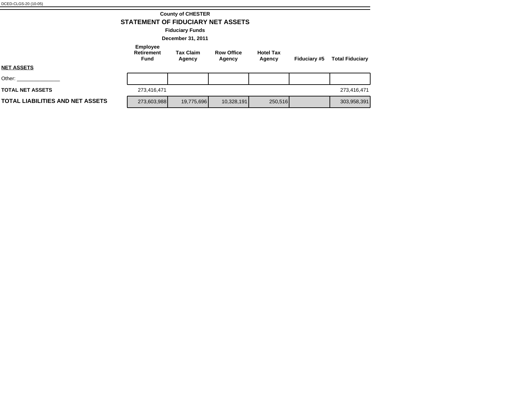#### **Employee Retirement Fund Tax Claim Agency Row Office Agency Hotel Tax Agency Fiduciary #5 Total Fiduciary County of CHESTER STATEMENT OF FIDUCIARY NET ASSETS December 31, 2011 Fiduciary Funds**

#### **NET ASSETS**

**TOTAL NET ASSETS** 

**TOTAL LIABILITIES AND NET** 

Other:

|               | 273,416,471 |            |            |         | 273,416,471 |
|---------------|-------------|------------|------------|---------|-------------|
| <b>ASSETS</b> | 273,603,988 | 19,775,696 | 10,328,191 | 250,516 | 303,958,391 |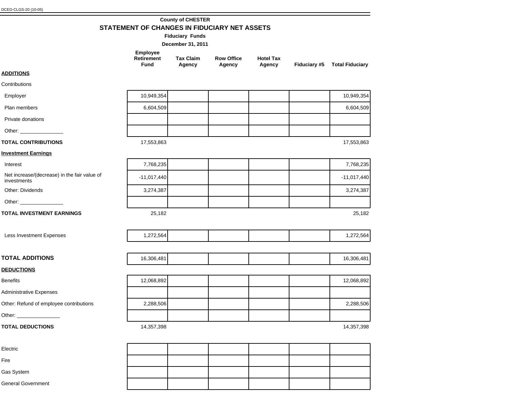#### **County of CHESTER STATEMENT OF CHANGES IN FIDUCIARY NET ASSETS**

|                                                             |                                                     | <b>Fiduciary Funds</b><br>December 31, 2011 |                             |                            |                              |
|-------------------------------------------------------------|-----------------------------------------------------|---------------------------------------------|-----------------------------|----------------------------|------------------------------|
|                                                             | <b>Employee</b><br><b>Retirement</b><br><b>Fund</b> | <b>Tax Claim</b><br>Agency                  | <b>Row Office</b><br>Agency | <b>Hotel Tax</b><br>Agency | Fiduciary #5 Total Fiduciary |
| <b>ADDITIONS</b>                                            |                                                     |                                             |                             |                            |                              |
| Contributions                                               |                                                     |                                             |                             |                            |                              |
| Employer                                                    | 10,949,354                                          |                                             |                             |                            | 10,949,354                   |
| Plan members                                                | 6,604,509                                           |                                             |                             |                            | 6,604,509                    |
| Private donations                                           |                                                     |                                             |                             |                            |                              |
|                                                             |                                                     |                                             |                             |                            |                              |
| <b>TOTAL CONTRIBUTIONS</b>                                  | 17,553,863                                          |                                             |                             |                            | 17,553,863                   |
| <b>Investment Earnings</b>                                  |                                                     |                                             |                             |                            |                              |
| Interest                                                    | 7,768,235                                           |                                             |                             |                            | 7,768,235                    |
| Net increase/(decrease) in the fair value of<br>investments | $-11,017,440$                                       |                                             |                             |                            | $-11,017,440$                |
| Other: Dividends                                            | 3,274,387                                           |                                             |                             |                            | 3,274,387                    |
|                                                             |                                                     |                                             |                             |                            |                              |
| <b>TOTAL INVESTMENT EARNINGS</b>                            | 25,182                                              |                                             |                             |                            | 25,182                       |
| Less Investment Expenses                                    | 1,272,564                                           |                                             |                             |                            | 1,272,564                    |
| <b>TOTAL ADDITIONS</b>                                      | 16,306,481                                          |                                             |                             |                            | 16,306,481                   |
| <b>DEDUCTIONS</b>                                           |                                                     |                                             |                             |                            |                              |
| <b>Benefits</b>                                             | 12,068,892                                          |                                             |                             |                            | 12,068,892                   |
| <b>Administrative Expenses</b>                              |                                                     |                                             |                             |                            |                              |
| Other: Refund of employee contributions                     | 2,288,506                                           |                                             |                             |                            | 2,288,506                    |
|                                                             |                                                     |                                             |                             |                            |                              |
| <b>TOTAL DEDUCTIONS</b>                                     | 14,357,398                                          |                                             |                             |                            | 14,357,398                   |

| Electric           |  |  |  |
|--------------------|--|--|--|
| Fire               |  |  |  |
| Gas System         |  |  |  |
| General Government |  |  |  |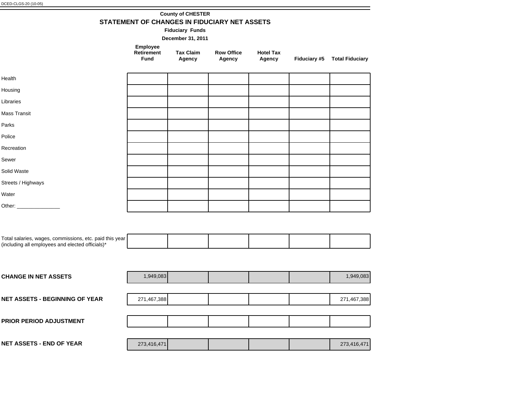## **County of CHESTER STATEMENT OF CHANGES IN FIDUCIARY NET ASSETS**

**Fiduciary Funds**

**December 31, 2011**

|                                                                                                             |                                | December 21, EVIT          |                             |                            |              |                        |
|-------------------------------------------------------------------------------------------------------------|--------------------------------|----------------------------|-----------------------------|----------------------------|--------------|------------------------|
|                                                                                                             | Employee<br>Retirement<br>Fund | <b>Tax Claim</b><br>Agency | <b>Row Office</b><br>Agency | <b>Hotel Tax</b><br>Agency | Fiduciary #5 | <b>Total Fiduciary</b> |
| Health                                                                                                      |                                |                            |                             |                            |              |                        |
| Housing                                                                                                     |                                |                            |                             |                            |              |                        |
| Libraries                                                                                                   |                                |                            |                             |                            |              |                        |
| <b>Mass Transit</b>                                                                                         |                                |                            |                             |                            |              |                        |
| Parks                                                                                                       |                                |                            |                             |                            |              |                        |
| Police                                                                                                      |                                |                            |                             |                            |              |                        |
| Recreation                                                                                                  |                                |                            |                             |                            |              |                        |
| Sewer                                                                                                       |                                |                            |                             |                            |              |                        |
| Solid Waste                                                                                                 |                                |                            |                             |                            |              |                        |
| Streets / Highways                                                                                          |                                |                            |                             |                            |              |                        |
| Water                                                                                                       |                                |                            |                             |                            |              |                        |
|                                                                                                             |                                |                            |                             |                            |              |                        |
| Total salaries, wages, commissions, etc. paid this year<br>(including all employees and elected officials)* |                                |                            |                             |                            |              |                        |
| <b>CHANGE IN NET ASSETS</b>                                                                                 | 1,949,083                      |                            |                             |                            |              | 1,949,083              |
| <b>NET ASSETS - BEGINNING OF YEAR</b>                                                                       | 271,467,388                    |                            |                             |                            |              | 271,467,388            |
| PRIOR PERIOD ADJUSTMENT                                                                                     |                                |                            |                             |                            |              |                        |

**NET ASSETS - END OF YEAR** 273,416,471 273,416,471 273,416,471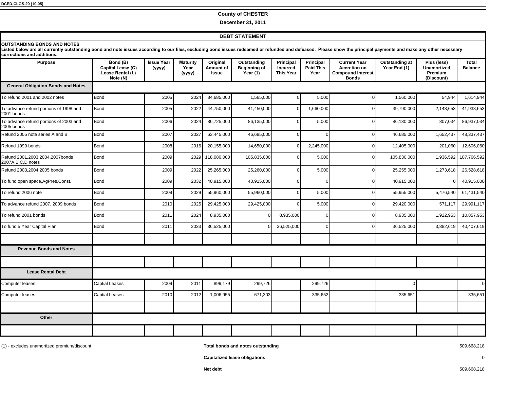#### **County of CHESTER**

**December 31, 2011**

#### **DEBT STATEMENT**

#### **28757 NUTSTANDING BONDS AND NOTES**

Listed below are all currently outstanding bond and note issues according to our files, excluding bond issues redeemed or refunded and defeased. Please show the principal payments and make any other necessary corrections and additions.

| <b>Purpose</b>                                       | Bond (B)<br>Capital Lease (C)<br>Lease Rental (L)<br>Note (N) | <b>Issue Year</b><br>(уууу) | <b>Maturity</b><br>Year<br>(yyyy) | Original<br>Amount of<br><b>Issue</b> | Outstanding<br><b>Beginning of</b><br>Year (1) | <b>Principal</b><br><b>Incurred</b><br><b>This Year</b> | <b>Principal</b><br><b>Paid This</b><br>Year | <b>Current Year</b><br><b>Accretion on</b><br><b>Compound Interest</b><br><b>Bonds</b> | Outstanding at<br>Year End (1) | Plus (less)<br><b>Unamortized</b><br>Premium<br>(Discount) | <b>Total</b><br><b>Balance</b> |
|------------------------------------------------------|---------------------------------------------------------------|-----------------------------|-----------------------------------|---------------------------------------|------------------------------------------------|---------------------------------------------------------|----------------------------------------------|----------------------------------------------------------------------------------------|--------------------------------|------------------------------------------------------------|--------------------------------|
| <b>General Obligation Bonds and Notes</b>            |                                                               |                             |                                   |                                       |                                                |                                                         |                                              |                                                                                        |                                |                                                            |                                |
| To refund 2001 and 2002 notes                        | Bond                                                          | 2005                        | 2024                              | 84,685,000                            | 1,565,000                                      | $\Omega$                                                | 5,000                                        | $\Omega$                                                                               | 1,560,000                      | 54,944                                                     | 1,614,944                      |
| To advance refund portions of 1998 and<br>2001 bonds | Bond                                                          | 2005                        | 2022                              | 44,750,000                            | 41,450,000                                     | $\Omega$                                                | 1,660,000                                    | $\Omega$                                                                               | 39,790,000                     | 2,148,653                                                  | 41,938,653                     |
| To advance refund portions of 2003 and<br>2005 bonds | Bond                                                          | 2006                        | 2024                              | 86,725,000                            | 86,135,000                                     | $\Omega$                                                | 5,000                                        | $\Omega$                                                                               | 86,130,000                     | 807,034                                                    | 86,937,034                     |
| Refund 2005 note series A and B                      | Bond                                                          | 2007                        | 2027                              | 63,445,000                            | 46,685,000                                     | $\Omega$                                                | $\Omega$                                     | $\Omega$                                                                               | 46,685,000                     | 1,652,437                                                  | 48,337,437                     |
| Refund 1999 bonds                                    | Bond                                                          | 2008                        | 2016                              | 20,155,000                            | 14,650,000                                     | $\Omega$                                                | 2,245,000                                    | $\Omega$                                                                               | 12,405,000                     | 201,060                                                    | 12,606,060                     |
| Refund 2001,2003,2004,2007bonds<br>2007A,B,C,D notes | Bond                                                          | 2009                        |                                   | 2029 118,080,000                      | 105,835,000                                    | $\Omega$                                                | 5,000                                        | $\Omega$                                                                               | 105,830,000                    | 1,936,592                                                  | 107,766,592                    |
| Refund 2003,2004,2005 bonds                          | Bond                                                          | 2009                        | 2022                              | 25,265,000                            | 25,260,000                                     | $\Omega$                                                | 5,000                                        |                                                                                        | 25,255,000                     | 1,273,618                                                  | 26,528,618                     |
| To fund open space, AgPres, Const.                   | Bond                                                          | 2009                        | 2032                              | 40,915,000                            | 40,915,000                                     | $\Omega$                                                | $\Omega$                                     |                                                                                        | 40,915,000                     |                                                            | 40,915,000                     |
| To refund 2006 note                                  | Bond                                                          | 2009                        | 2029                              | 55,960,000                            | 55,960,000                                     | $\Omega$                                                | 5,000                                        |                                                                                        | 55,955,000                     | 5,476,540                                                  | 61,431,540                     |
| To advance refund 2007, 2009 bonds                   | Bond                                                          | 2010                        | 2025                              | 29,425,000                            | 29,425,000                                     | $\Omega$                                                | 5,000                                        |                                                                                        | 29,420,000                     | 571,117                                                    | 29,991,117                     |
| To refund 2001 bonds                                 | Bond                                                          | 2011                        | 2024                              | 8,935,000                             |                                                | 8,935,000                                               | $\Omega$                                     |                                                                                        | 8,935,000                      | 1,922,953                                                  | 10,857,953                     |
| To fund 5 Year Capital Plan                          | Bond                                                          | 2011                        | 2033                              | 36,525,000                            |                                                | 36,525,000                                              | $\Omega$                                     |                                                                                        | 36,525,000                     | 3,882,619                                                  | 40,407,619                     |
| <b>Revenue Bonds and Notes</b>                       |                                                               |                             |                                   |                                       |                                                |                                                         |                                              |                                                                                        |                                |                                                            |                                |
|                                                      |                                                               |                             |                                   |                                       |                                                |                                                         |                                              |                                                                                        |                                |                                                            |                                |
| <b>Lease Rental Debt</b>                             |                                                               |                             |                                   |                                       |                                                |                                                         |                                              |                                                                                        |                                |                                                            |                                |
| Computer leases                                      | <b>Captial Leases</b>                                         | 2009                        | 2011                              | 899,179                               | 299,726                                        |                                                         | 299,726                                      |                                                                                        | $\Omega$                       |                                                            | $\Omega$                       |
| Computer leases                                      | <b>Captial Leases</b>                                         | 2010                        | 2012                              | 1,006,955                             | 671,303                                        |                                                         | 335,652                                      |                                                                                        | 335,651                        |                                                            | 335,651                        |
|                                                      |                                                               |                             |                                   |                                       |                                                |                                                         |                                              |                                                                                        |                                |                                                            |                                |
| Other                                                |                                                               |                             |                                   |                                       |                                                |                                                         |                                              |                                                                                        |                                |                                                            |                                |
|                                                      |                                                               |                             |                                   |                                       |                                                |                                                         |                                              |                                                                                        |                                |                                                            |                                |

(1) - excludes unamortized premium/discount **Total bonds and notes outstanding** 509,668,218

**Capitalized lease obligations** 0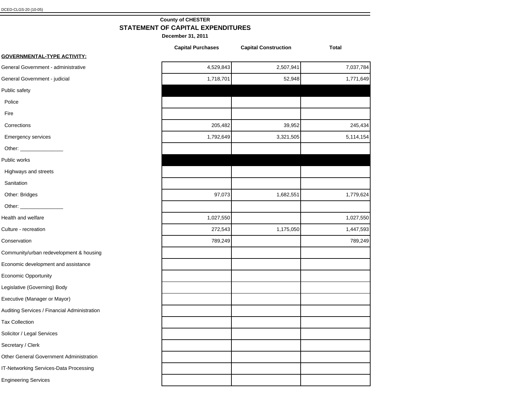#### **County of CHESTER STATEMENT OF CAPITAL EXPENDITURES**

|                                              | <b>Capital Purchases</b> | <b>Capital Construction</b> | <b>Total</b> |
|----------------------------------------------|--------------------------|-----------------------------|--------------|
| <b>GOVERNMENTAL-TYPE ACTIVITY:</b>           |                          |                             |              |
| General Government - administrative          | 4,529,843                | 2,507,941                   | 7,037,784    |
| General Government - judicial                | 1,718,701                | 52,948                      | 1,771,649    |
| Public safety                                |                          |                             |              |
| Police                                       |                          |                             |              |
| Fire                                         |                          |                             |              |
| Corrections                                  | 205,482                  | 39,952                      | 245,434      |
| Emergency services                           | 1,792,649                | 3,321,505                   | 5,114,154    |
|                                              |                          |                             |              |
| Public works                                 |                          |                             |              |
| Highways and streets                         |                          |                             |              |
| Sanitation                                   |                          |                             |              |
| Other: Bridges                               | 97,073                   | 1,682,551                   | 1,779,624    |
|                                              |                          |                             |              |
| Health and welfare                           | 1,027,550                |                             | 1,027,550    |
| Culture - recreation                         | 272,543                  | 1,175,050                   | 1,447,593    |
| Conservation                                 | 789,249                  |                             | 789,249      |
| Community/urban redevelopment & housing      |                          |                             |              |
| Economic development and assistance          |                          |                             |              |
| Economic Opportunity                         |                          |                             |              |
| Legislative (Governing) Body                 |                          |                             |              |
| Executive (Manager or Mayor)                 |                          |                             |              |
| Auditing Services / Financial Administration |                          |                             |              |
| <b>Tax Collection</b>                        |                          |                             |              |
| Solicitor / Legal Services                   |                          |                             |              |
| Secretary / Clerk                            |                          |                             |              |
| Other General Government Administration      |                          |                             |              |
| IT-Networking Services-Data Processing       |                          |                             |              |
| <b>Engineering Services</b>                  |                          |                             |              |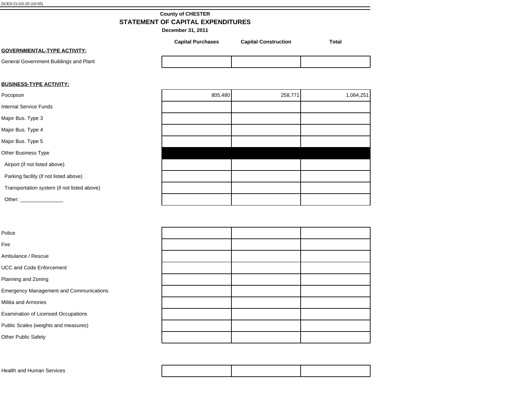### **County of CHESTER STATEMENT OF CAPITAL EXPENDITURES**

**December 31, 2011**

|                                        | <b>Capital Purchases</b> | <b>Capital Construction</b> | Total |
|----------------------------------------|--------------------------|-----------------------------|-------|
| <b>GOVERNMENTAL-TYPE ACTIVITY:</b>     |                          |                             |       |
| General Government Buildings and Plant |                          |                             |       |

#### **BUSINESS-TYPE ACTIVITY:**

| Pocopson                                                                                                                                                                                                                       | 805,480 | 258,771 | 1,064,251 |
|--------------------------------------------------------------------------------------------------------------------------------------------------------------------------------------------------------------------------------|---------|---------|-----------|
| <b>Internal Service Funds</b>                                                                                                                                                                                                  |         |         |           |
| Major Bus. Type 3                                                                                                                                                                                                              |         |         |           |
| Major Bus. Type 4                                                                                                                                                                                                              |         |         |           |
| Major Bus. Type 5                                                                                                                                                                                                              |         |         |           |
| Other Business Type                                                                                                                                                                                                            |         |         |           |
| Airport (if not listed above)                                                                                                                                                                                                  |         |         |           |
| Parking facility (if not listed above)                                                                                                                                                                                         |         |         |           |
| Transportation system (if not listed above)                                                                                                                                                                                    |         |         |           |
| Other: and the control of the control of the control of the control of the control of the control of the control of the control of the control of the control of the control of the control of the control of the control of t |         |         |           |

| Police                                         |  |  |
|------------------------------------------------|--|--|
| Fire                                           |  |  |
| Ambulance / Rescue                             |  |  |
| <b>UCC and Code Enforcement</b>                |  |  |
| Planning and Zoning                            |  |  |
| <b>Emergency Management and Communications</b> |  |  |
| Militia and Armories                           |  |  |
| <b>Examination of Licensed Occupations</b>     |  |  |
| Public Scales (weights and measures)           |  |  |
| Other Public Safety                            |  |  |

|  | <b>Health and Human Services</b> |  |  |  |
|--|----------------------------------|--|--|--|
|--|----------------------------------|--|--|--|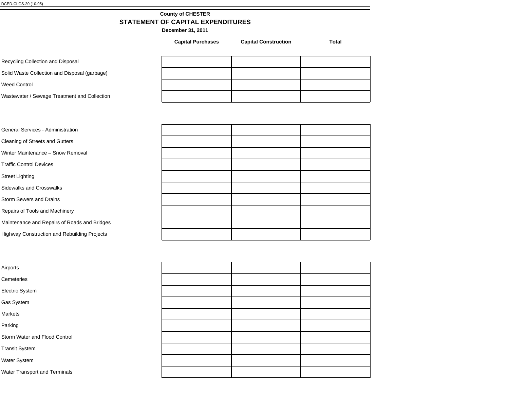## **County of CHESTER STATEMENT OF CAPITAL EXPENDITURES**

**December 31, 2011**

Recycling Collection and Disposal

Solid Waste Collection and Disposal (garbage)

Weed Control

Wastewater / Sewage Treatment and Collection

**Capital Purchases Capital Construction Total**

| <b>General Services - Administration</b>     |  |  |
|----------------------------------------------|--|--|
| <b>Cleaning of Streets and Gutters</b>       |  |  |
| Winter Maintenance - Snow Removal            |  |  |
| <b>Traffic Control Devices</b>               |  |  |
| <b>Street Lighting</b>                       |  |  |
| Sidewalks and Crosswalks                     |  |  |
| <b>Storm Sewers and Drains</b>               |  |  |
| Repairs of Tools and Machinery               |  |  |
| Maintenance and Repairs of Roads and Bridges |  |  |
| Highway Construction and Rebuilding Projects |  |  |

| Control  |  |  |
|----------|--|--|
|          |  |  |
|          |  |  |
| erminals |  |  |
|          |  |  |

Airports

**Cemeteries** 

Electric System

Gas System

Markets

Parking

Storm Water and Flood

Transit System

Water System

Water Transport and Ter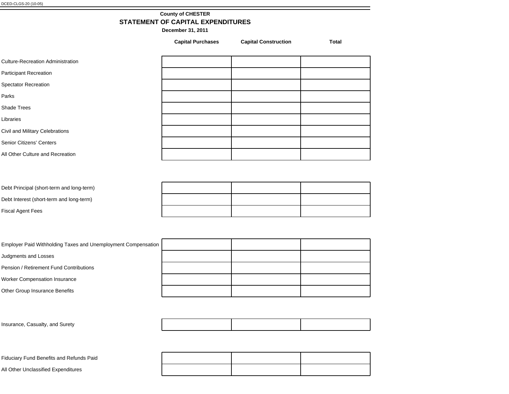## **County of CHESTER STATEMENT OF CAPITAL EXPENDITURES**

**December 31, 2011**

|                                          | <b>Capital Purchases</b> | <b>Capital Construction</b> | <b>Total</b> |
|------------------------------------------|--------------------------|-----------------------------|--------------|
|                                          |                          |                             |              |
| <b>Culture-Recreation Administration</b> |                          |                             |              |
| Participant Recreation                   |                          |                             |              |
| Spectator Recreation                     |                          |                             |              |
| Parks                                    |                          |                             |              |
| <b>Shade Trees</b>                       |                          |                             |              |
| Libraries                                |                          |                             |              |
| Civil and Military Celebrations          |                          |                             |              |
| Senior Citizens' Centers                 |                          |                             |              |
| All Other Culture and Recreation         |                          |                             |              |
|                                          |                          |                             |              |
|                                          |                          |                             |              |

| Debt Principal (short-term and long-term) |  |  |
|-------------------------------------------|--|--|
| Debt Interest (short-term and long-term)  |  |  |
| <b>Fiscal Agent Fees</b>                  |  |  |

| Employer Paid Withholding Taxes and Unemployment Compensation |  |  |
|---------------------------------------------------------------|--|--|
| Judgments and Losses                                          |  |  |
| Pension / Retirement Fund Contributions                       |  |  |
| <b>Worker Compensation Insurance</b>                          |  |  |
| Other Group Insurance Benefits                                |  |  |

Insurance, Casualty, and Surety

Fiduciary Fund Benefits and Refunds Paid

All Other Unclassified Expenditures

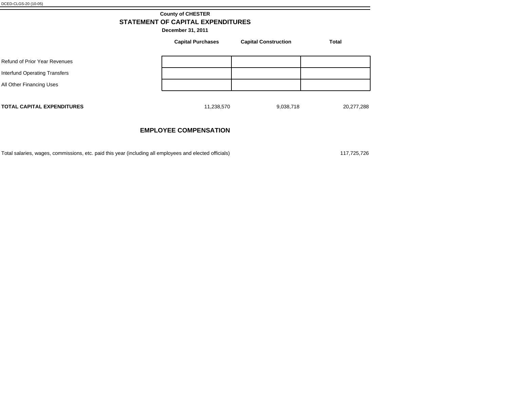| <b>County of CHESTER</b>                 |  |
|------------------------------------------|--|
| <b>STATEMENT OF CAPITAL EXPENDITURES</b> |  |

**December 31, 2011**

|                                      | <b>Capital Purchases</b> | <b>Capital Construction</b> | <b>Total</b> |
|--------------------------------------|--------------------------|-----------------------------|--------------|
| Refund of Prior Year Revenues        |                          |                             |              |
| <b>Interfund Operating Transfers</b> |                          |                             |              |
| All Other Financing Uses             |                          |                             |              |
| <b>TOTAL CAPITAL EXPENDITURES</b>    | 11,238,570               | 9,038,718                   | 20,277,288   |

### **EMPLOYEE COMPENSATION**

| Total salaries, wages, commissions, etc. paid this year (including all employees and elected officials) |  | 117.725.726 |
|---------------------------------------------------------------------------------------------------------|--|-------------|
|                                                                                                         |  |             |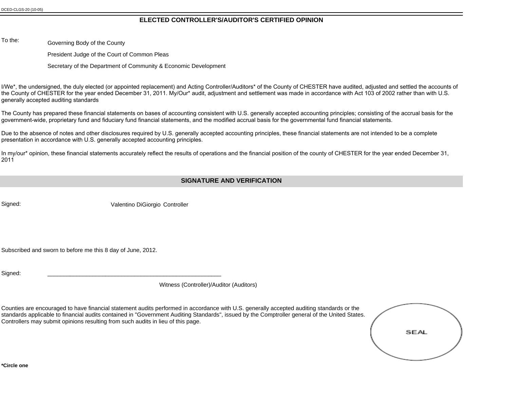#### **ELECTED CONTROLLER'S/AUDITOR'S CERTIFIED OPINION**

To the: Governing Body of the County

President Judge of the Court of Common Pleas

Secretary of the Department of Community & Economic Development

I/We<sup>\*</sup>, the undersigned, the duly elected (or appointed replacement) and Acting Controller/Auditors\* of the County of CHESTER have audited, adjusted and settled the accounts of the County of CHESTER for the year ended December 31, 2011. My/Our\* audit, adjustment and settlement was made in accordance with Act 103 of 2002 rather than with U.S. generally accepted auditing standards

The County has prepared these financial statements on bases of accounting consistent with U.S. generally accepted accounting principles; consisting of the accrual basis for the government-wide, proprietary fund and fiduciary fund financial statements, and the modified accrual basis for the governmental fund financial statements.

Due to the absence of notes and other disclosures required by U.S. generally accepted accounting principles, these financial statements are not intended to be a complete presentation in accordance with U.S. generally accepted accounting principles.

In my/our\* opinion, these financial statements accurately reflect the results of operations and the financial position of the county of CHESTER for the year ended December 31, 2011

#### **SIGNATURE AND VERIFICATION**

Signed: Valentino DiGiorgio Controller

Subscribed and sworn to before me this 8 day of June, 2012.

Signed: \_\_\_\_\_\_\_\_\_\_\_\_\_\_\_\_\_\_\_\_\_\_\_\_\_\_\_\_\_\_\_\_\_\_\_\_\_\_\_\_\_\_\_\_\_\_\_\_\_\_\_\_\_\_

Witness (Controller)/Auditor (Auditors)

Counties are encouraged to have financial statement audits performed in accordance with U.S. generally accepted auditing standards or the standards applicable to financial audits contained in "Government Auditing Standards", issued by the Comptroller general of the United States. Controllers may submit opinions resulting from such audits in lieu of this page.

| SEAL |  |
|------|--|
|      |  |
|      |  |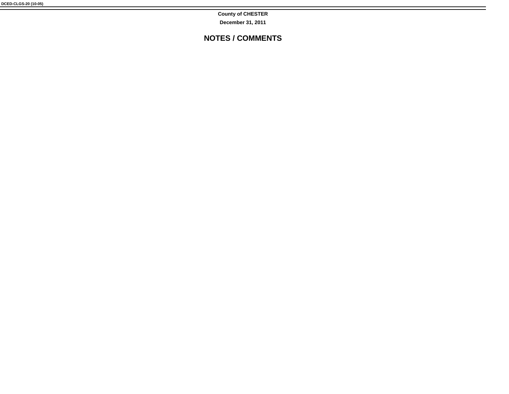**County of CHESTER December 31, 2011**

**NOTES / COMMENTS**